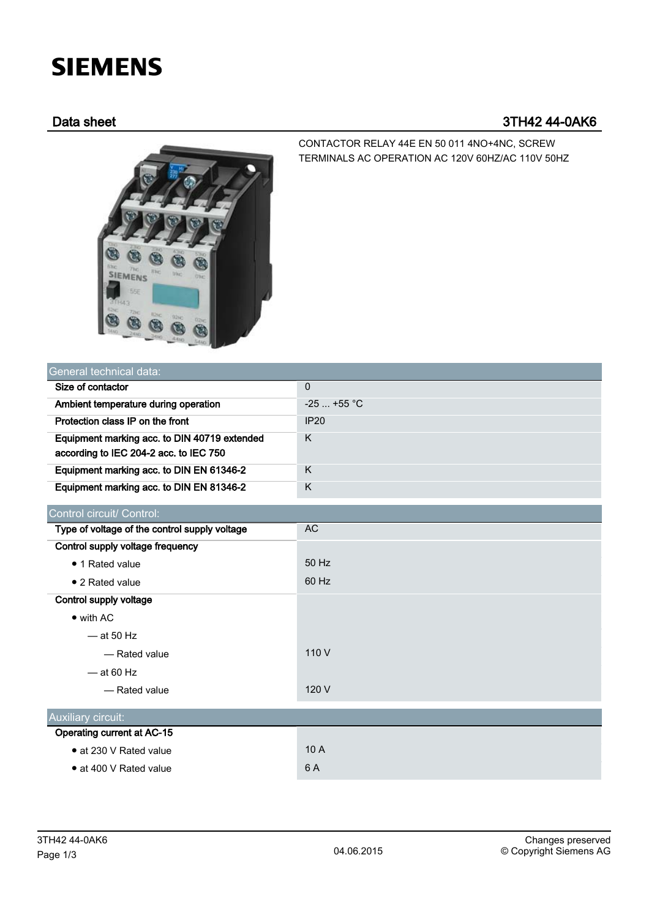# **SIEMENS**

## Data sheet 3TH42 44-0AK6



CONTACTOR RELAY 44E EN 50 011 4NO+4NC, SCREW TERMINALS AC OPERATION AC 120V 60HZ/AC 110V 50HZ

| General technical data:                       |              |
|-----------------------------------------------|--------------|
| Size of contactor                             | $\Omega$     |
| Ambient temperature during operation          | $-25$ +55 °C |
| Protection class IP on the front              | <b>IP20</b>  |
| Equipment marking acc. to DIN 40719 extended  | K            |
| according to IEC 204-2 acc. to IEC 750        |              |
| Equipment marking acc. to DIN EN 61346-2      | K            |
| Equipment marking acc. to DIN EN 81346-2      | K            |
| Control circuit/ Control:                     |              |
| Type of voltage of the control supply voltage | <b>AC</b>    |
| Control supply voltage frequency              |              |
| • 1 Rated value                               | 50 Hz        |
| • 2 Rated value                               | 60 Hz        |
| Control supply voltage                        |              |
| $\bullet$ with AC                             |              |
| $-$ at 50 Hz                                  |              |
| - Rated value                                 | 110 V        |
| $-$ at 60 Hz                                  |              |
| - Rated value                                 | 120 V        |
|                                               |              |
| Auxiliary circuit:                            |              |
| Operating current at AC-15                    |              |
| • at 230 V Rated value                        | 10 A         |
| • at 400 V Rated value                        | 6 A          |
|                                               |              |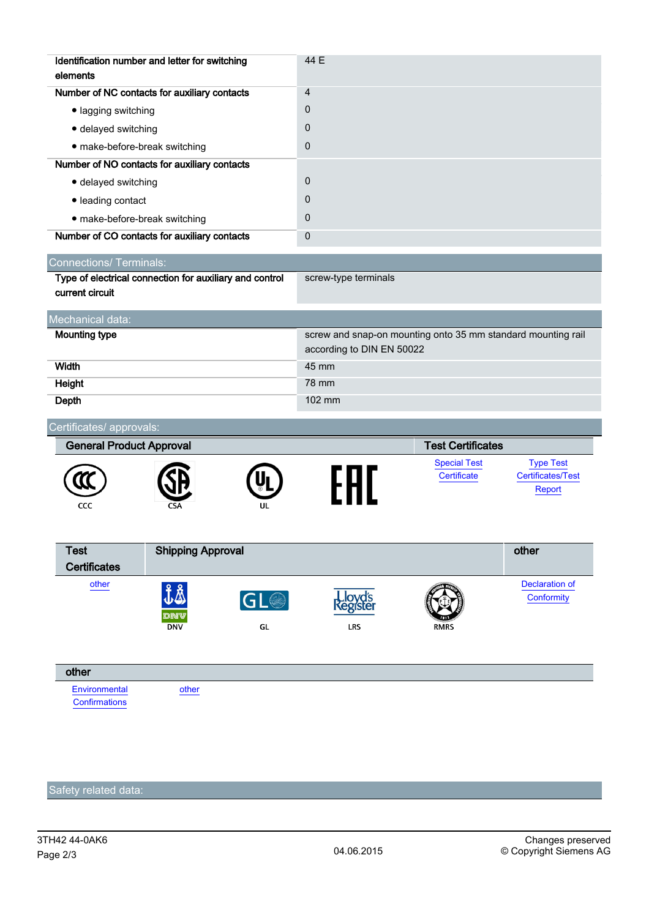| Identification number and letter for switching<br>elements                 | 44 E                                                                                      |                                    |                                                        |
|----------------------------------------------------------------------------|-------------------------------------------------------------------------------------------|------------------------------------|--------------------------------------------------------|
| Number of NC contacts for auxiliary contacts                               | $\overline{4}$                                                                            |                                    |                                                        |
| · lagging switching                                                        | 0                                                                                         |                                    |                                                        |
| · delayed switching                                                        | 0                                                                                         |                                    |                                                        |
| · make-before-break switching                                              | 0                                                                                         |                                    |                                                        |
| Number of NO contacts for auxiliary contacts                               |                                                                                           |                                    |                                                        |
| · delayed switching                                                        | $\mathbf 0$                                                                               |                                    |                                                        |
| · leading contact                                                          | 0                                                                                         |                                    |                                                        |
| • make-before-break switching                                              | 0                                                                                         |                                    |                                                        |
| Number of CO contacts for auxiliary contacts                               | $\mathbf 0$                                                                               |                                    |                                                        |
| <b>Connections/ Terminals:</b>                                             |                                                                                           |                                    |                                                        |
| Type of electrical connection for auxiliary and control<br>current circuit | screw-type terminals                                                                      |                                    |                                                        |
| Mechanical data:                                                           |                                                                                           |                                    |                                                        |
| <b>Mounting type</b>                                                       | screw and snap-on mounting onto 35 mm standard mounting rail<br>according to DIN EN 50022 |                                    |                                                        |
| Width                                                                      | 45 mm                                                                                     |                                    |                                                        |
| Height                                                                     | 78 mm                                                                                     |                                    |                                                        |
| Depth                                                                      | 102 mm                                                                                    |                                    |                                                        |
| Certificates/ approvals:                                                   |                                                                                           |                                    |                                                        |
| <b>General Product Approval</b>                                            |                                                                                           | <b>Test Certificates</b>           |                                                        |
| CCC                                                                        |                                                                                           | <b>Special Test</b><br>Certificate | <b>Type Test</b><br><b>Certificates/Test</b><br>Report |
| <b>Shipping Approval</b><br><b>Test</b><br><b>Certificates</b>             |                                                                                           |                                    | other                                                  |
| other<br>J&<br>GL®<br><b>DNV</b><br>GL                                     | LRS                                                                                       | RMRS                               | <b>Declaration of</b><br>Conformity                    |
| other                                                                      |                                                                                           |                                    |                                                        |
| Environmental<br>other<br>Confirmations                                    |                                                                                           |                                    |                                                        |

## Safety related data: